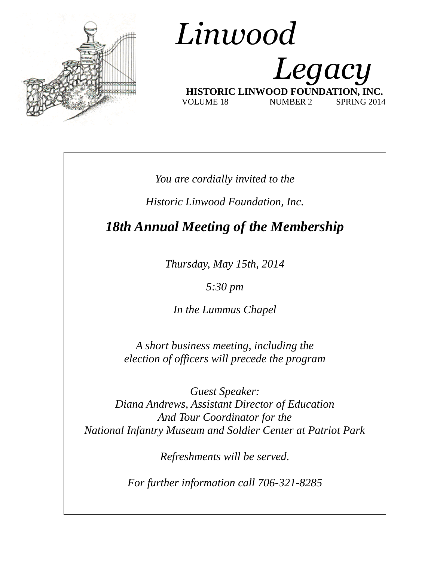

## *Linwood Legacy*  **HISTORIC LINWOOD FOUNDAT** VOLUME 18 NUMBER 2 SPRING 2014

*You are cordially invited to the*

*Historic Linwood Foundation, Inc.*

*18th Annual Meeting of the Membership*

*Thursday, May 15th, 2014*

*5:30 pm*

*In the Lummus Chapel*

*A short business meeting, including the election of officers will precede the program*

*Guest Speaker: Diana Andrews, Assistant Director of Education And Tour Coordinator for the National Infantry Museum and Soldier Center at Patriot Park*

*Refreshments will be served.*

*For further information call 706-321-8285*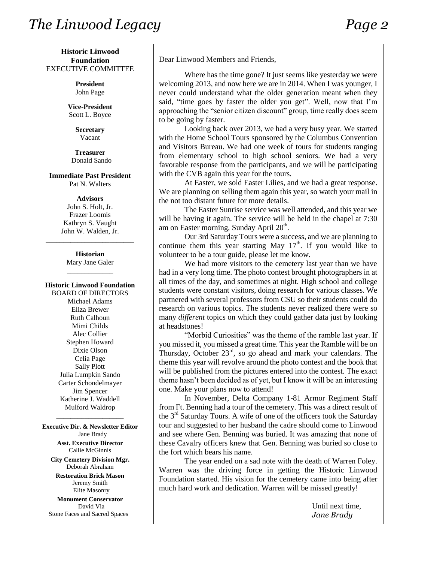**President** John Page

**Vice-President** Scott L. Boyce

> **Secretary** Vacant

**Treasurer** Donald Sando

**Immediate Past President** Pat N. Walters

> **Advisors** John S. Holt, Jr. Frazer Loomis Kathryn S. Vaught John W. Walden, Jr.

\_\_\_\_\_\_\_\_\_\_\_\_\_\_\_\_\_\_\_\_\_\_\_\_\_

**Historian** Mary Jane Galer \_\_\_\_\_\_\_\_\_\_\_\_\_

**Historic Linwood Foundation** BOARD OF DIRECTORS Michael Adams Eliza Brewer Ruth Calhoun Mimi Childs Alec Collier Stephen Howard Dixie Olson Celia Page Sally Plott Julia Lumpkin Sando Carter Schondelmayer Jim Spencer Katherine J. Waddell Mulford Waldrop

**Executive Dir. & Newsletter Editor** Jane Brady

\_\_\_\_\_\_\_\_\_\_\_\_\_\_\_\_\_\_\_

**Asst. Executive Director** Callie McGinnis

**City Cemetery Division Mgr.** Deborah Abraham

**Restoration Brick Mason** Jeremy Smith Elite Masonry

**Monument Conservator** David Via Stone Faces and Sacred Spaces Dear Linwood Members and Friends,

Where has the time gone? It just seems like yesterday we were welcoming 2013, and now here we are in 2014. When I was younger, I never could understand what the older generation meant when they said, "time goes by faster the older you get". Well, now that I'm approaching the "senior citizen discount" group, time really does seem to be going by faster.

Looking back over 2013, we had a very busy year. We started with the Home School Tours sponsored by the Columbus Convention and Visitors Bureau. We had one week of tours for students ranging from elementary school to high school seniors. We had a very favorable response from the participants, and we will be participating with the CVB again this year for the tours.

At Easter, we sold Easter Lilies, and we had a great response. We are planning on selling them again this year, so watch your mail in the not too distant future for more details.

The Easter Sunrise service was well attended, and this year we will be having it again. The service will be held in the chapel at  $7:30$ am on Easter morning, Sunday April 20<sup>th</sup>.

Our 3rd Saturday Tours were a success, and we are planning to continue them this year starting May  $17<sup>th</sup>$ . If you would like to volunteer to be a tour guide, please let me know.

We had more visitors to the cemetery last year than we have had in a very long time. The photo contest brought photographers in at all times of the day, and sometimes at night. High school and college students were constant visitors, doing research for various classes. We partnered with several professors from CSU so their students could do research on various topics. The students never realized there were so many *different* topics on which they could gather data just by looking at headstones!

"Morbid Curiosities" was the theme of the ramble last year. If you missed it, you missed a great time. This year the Ramble will be on Thursday, October 23rd, so go ahead and mark your calendars. The theme this year will revolve around the photo contest and the book that will be published from the pictures entered into the contest. The exact theme hasn't been decided as of yet, but I know it will be an interesting one. Make your plans now to attend!

In November, Delta Company 1-81 Armor Regiment Staff from Ft. Benning had a tour of the cemetery. This was a direct result of the  $3<sup>rd</sup>$  Saturday Tours. A wife of one of the officers took the Saturday tour and suggested to her husband the cadre should come to Linwood and see where Gen. Benning was buried. It was amazing that none of these Cavalry officers knew that Gen. Benning was buried so close to the fort which bears his name.

The year ended on a sad note with the death of Warren Foley. Warren was the driving force in getting the Historic Linwood Foundation started. His vision for the cemetery came into being after much hard work and dedication. Warren will be missed greatly!

> Until next time, *Jane Brady*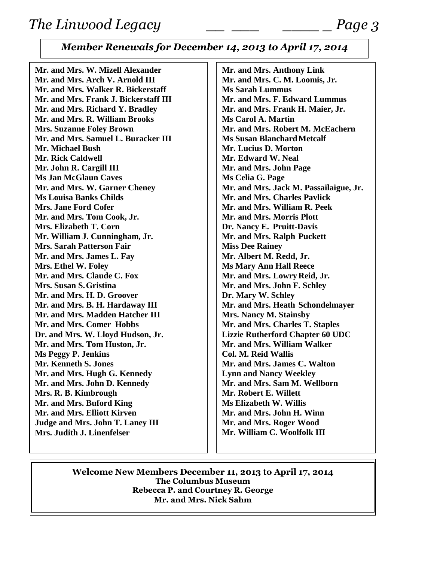## *Member Renewals for December 14, 2013 to April 17, 2014*

**Mr. and Mrs. W. Mizell Alexander Mr. and Mrs. Arch V. Arnold III Mr. and Mrs. Walker R. Bickerstaff Mr. and Mrs. Frank J. Bickerstaff III Mr. and Mrs. Richard Y. Bradley Mr. and Mrs. R. William Brooks Mrs. Suzanne Foley Brown Mr. and Mrs. Samuel L. Buracker III Mr. Michael Bush Mr. Rick Caldwell Mr. John R. Cargill III Ms Jan McGlaun Caves Mr. and Mrs. W. Garner Cheney Ms Louisa Banks Childs Mrs. Jane Ford Cofer Mr. and Mrs. Tom Cook, Jr. Mrs. Elizabeth T. Corn Mr. William J. Cunningham, Jr. Mrs. Sarah Patterson Fair Mr. and Mrs. James L. Fay Mrs. Ethel W. Foley Mr. and Mrs. Claude C. Fox Mrs. Susan S.Gristina Mr. and Mrs. H. D. Groover Mr. and Mrs. B. H. Hardaway III Mr. and Mrs. Madden Hatcher III Mr. and Mrs. Comer Hobbs Dr. and Mrs. W. Lloyd Hudson, Jr. Mr. and Mrs. Tom Huston, Jr. Ms Peggy P. Jenkins Mr. Kenneth S. Jones Mr. and Mrs. Hugh G. Kennedy Mr. and Mrs. John D. Kennedy Mrs. R. B. Kimbrough Mr. and Mrs. Buford King Mr. and Mrs. Elliott Kirven Judge and Mrs. John T. Laney III Mrs. Judith J. Linenfelser**

**Mr. and Mrs. Anthony Link Mr. and Mrs. C. M. Loomis, Jr. Ms Sarah Lummus Mr. and Mrs. F. Edward Lummus Mr. and Mrs. Frank H. Maier, Jr. Ms Carol A. Martin Mr. and Mrs. Robert M. McEachern Ms Susan BlanchardMetcalf Mr. Lucius D. Morton Mr. Edward W. Neal Mr. and Mrs. John Page Ms Celia G. Page Mr. and Mrs. Jack M. Passailaigue, Jr. Mr. and Mrs. Charles Pavlick Mr. and Mrs. William R. Peek Mr. and Mrs. Morris Plott Dr. Nancy E. Pruitt-Davis Mr. and Mrs. Ralph Puckett Miss Dee Rainey Mr. Albert M. Redd, Jr. Ms Mary Ann Hall Reece Mr. and Mrs. Lowry Reid, Jr. Mr. and Mrs. John F. Schley Dr. Mary W. Schley Mr. and Mrs. Heath Schondelmayer Mrs. Nancy M. Stainsby Mr. and Mrs. Charles T. Staples Lizzie Rutherford Chapter 60 UDC Mr. and Mrs. William Walker Col. M. Reid Wallis Mr. and Mrs. James C. Walton Lynn and Nancy Weekley Mr. and Mrs. Sam M. Wellborn Mr. Robert E. Willett Ms Elizabeth W. Willis Mr. and Mrs. John H. Winn Mr. and Mrs. Roger Wood Mr. William C. Woolfolk III**

**Welcome New Members December 11, 2013 to April 17, 2014 The Columbus Museum Rebecca P. and Courtney R. George Mr. and Mrs. Nick Sahm**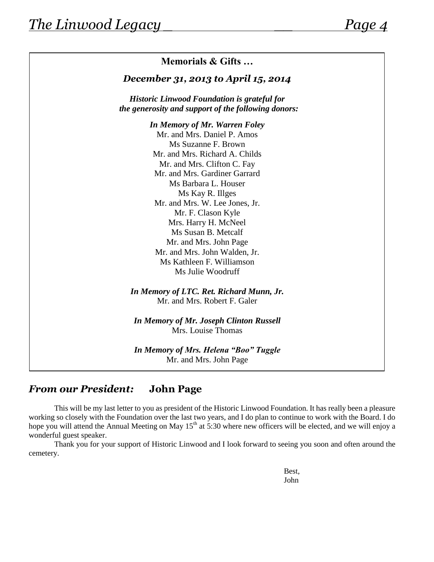

## *From our President:* **John Page**

This will be my last letter to you as president of the Historic Linwood Foundation. It has really been a pleasure working so closely with the Foundation over the last two years, and I do plan to continue to work with the Board. I do hope you will attend the Annual Meeting on May  $15<sup>th</sup>$  at 5:30 where new officers will be elected, and we will enjoy a wonderful guest speaker.

Thank you for your support of Historic Linwood and I look forward to seeing you soon and often around the cemetery.

> Best, John